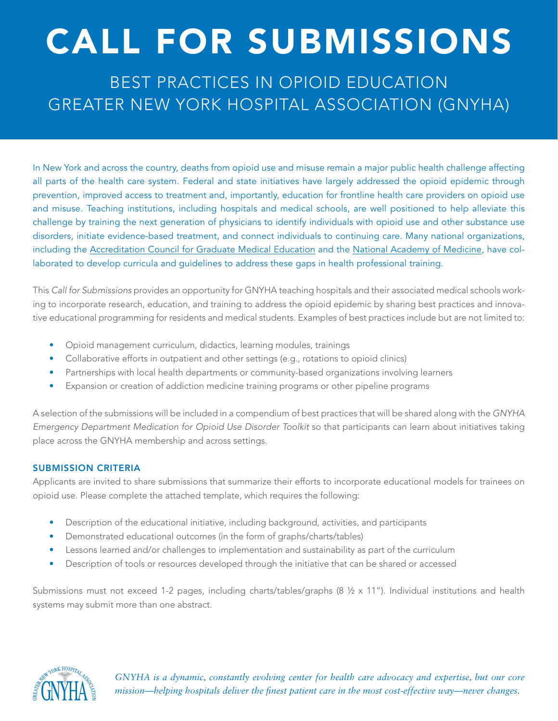## CALL FOR SUBMISSIONS

BEST PRACTICES IN OPIOID EDUCATION GREATER NEW YORK HOSPITAL ASSOCIATION (GNYHA)

In New York and across the country, deaths from opioid use and misuse remain a major public health challenge affecting all parts of the health care system. Federal and state initiatives have largely addressed the opioid epidemic through prevention, improved access to treatment and, importantly, education for frontline health care providers on opioid use and misuse. Teaching institutions, including hospitals and medical schools, are well positioned to help alleviate this challenge by training the next generation of physicians to identify individuals with opioid use and other substance use disorders, initiate evidence-based treatment, and connect individuals to continuing care. Many national organizations, including the [Accreditation Council for Graduate Medical Education](https://www.acgme.org/what-we-do/initiatives/opioid-use-disorder/) and the [National Academy of Medicine,](https://nam.edu/programs/action-collaborative-on-countering-the-u-s-opioid-epidemic/) have collaborated to develop curricula and guidelines to address these gaps in health professional training.

This *Call for Submissions* provides an opportunity for GNYHA teaching hospitals and their associated medical schools working to incorporate research, education, and training to address the opioid epidemic by sharing best practices and innovative educational programming for residents and medical students. Examples of best practices include but are not limited to:

- Opioid management curriculum, didactics, learning modules, trainings
- Collaborative efforts in outpatient and other settings (e.g., rotations to opioid clinics)
- Partnerships with local health departments or community-based organizations involving learners
- Expansion or creation of addiction medicine training programs or other pipeline programs

A selection of the submissions will be included in a compendium of best practices that will be shared along with the *GNYHA Emergency Department Medication for Opioid Use Disorder Toolkit* so that participants can learn about initiatives taking place across the GNYHA membership and across settings.

## SUBMISSION CRITERIA

Applicants are invited to share submissions that summarize their efforts to incorporate educational models for trainees on opioid use. Please complete the attached template, which requires the following:

- Description of the educational initiative, including background, activities, and participants
- Demonstrated educational outcomes (in the form of graphs/charts/tables)
- Lessons learned and/or challenges to implementation and sustainability as part of the curriculum
- Description of tools or resources developed through the initiative that can be shared or accessed

Submissions must not exceed 1-2 pages, including charts/tables/graphs (8 ½ x 11"). Individual institutions and health systems may submit more than one abstract.



*GNYHA is a dynamic, constantly evolving center for health care advocacy and expertise, but our core mission—helping hospitals deliver the finest patient care in the most cost-effective way—never changes.*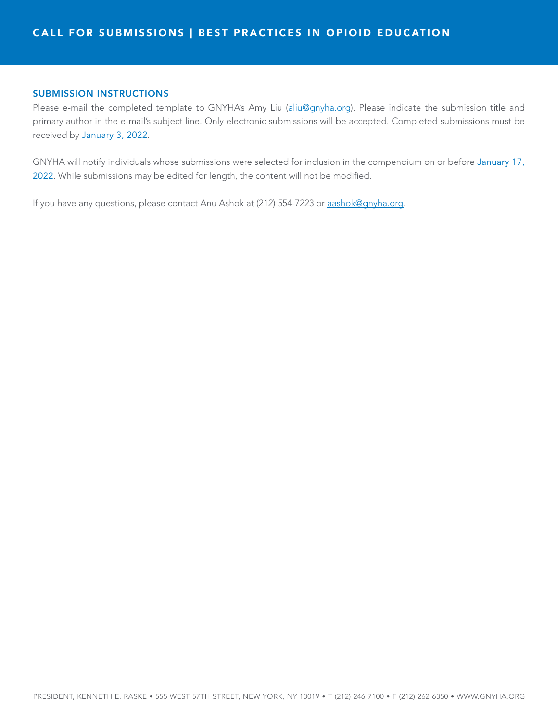## SUBMISSION INSTRUCTIONS

Please e-mail the completed template to GNYHA's Amy Liu [\(aliu@gnyha.org\)](mailto:aliu@gnyha.org). Please indicate the submission title and primary author in the e-mail's subject line. Only electronic submissions will be accepted. Completed submissions must be received by January 3, 2022.

GNYHA will notify individuals whose submissions were selected for inclusion in the compendium on or before January 17, 2022. While submissions may be edited for length, the content will not be modified.

If you have any questions, please contact Anu Ashok at (212) 554-7223 or [aashok@gnyha.org.](mailto:aashok@gnyha.org)